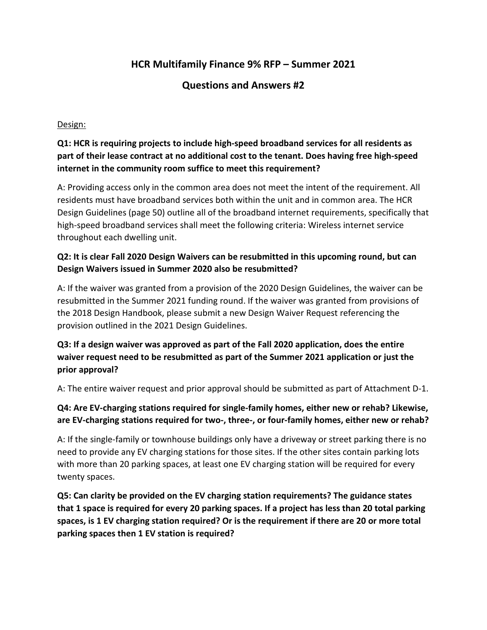# **HCR Multifamily Finance 9% RFP – Summer 2021**

# **Questions and Answers #2**

#### Design:

# **Q1: HCR is requiring projects to include high-speed broadband services for all residents as part of their lease contract at no additional cost to the tenant. Does having free high-speed internet in the community room suffice to meet this requirement?**

A: Providing access only in the common area does not meet the intent of the requirement. All residents must have broadband services both within the unit and in common area. The HCR Design Guidelines (page 50) outline all of the broadband internet requirements, specifically that high-speed broadband services shall meet the following criteria: Wireless internet service throughout each dwelling unit.

#### **Q2: It is clear Fall 2020 Design Waivers can be resubmitted in this upcoming round, but can Design Waivers issued in Summer 2020 also be resubmitted?**

A: If the waiver was granted from a provision of the 2020 Design Guidelines, the waiver can be resubmitted in the Summer 2021 funding round. If the waiver was granted from provisions of the 2018 Design Handbook, please submit a new Design Waiver Request referencing the provision outlined in the 2021 Design Guidelines.

## **Q3: If a design waiver was approved as part of the Fall 2020 application, does the entire waiver request need to be resubmitted as part of the Summer 2021 application or just the prior approval?**

A: The entire waiver request and prior approval should be submitted as part of Attachment D-1.

# **Q4: Are EV-charging stations required for single-family homes, either new or rehab? Likewise, are EV-charging stations required for two-, three-, or four-family homes, either new or rehab?**

A: If the single-family or townhouse buildings only have a driveway or street parking there is no need to provide any EV charging stations for those sites. If the other sites contain parking lots with more than 20 parking spaces, at least one EV charging station will be required for every twenty spaces.

**Q5: Can clarity be provided on the EV charging station requirements? The guidance states that 1 space is required for every 20 parking spaces. If a project has less than 20 total parking spaces, is 1 EV charging station required? Or is the requirement if there are 20 or more total parking spaces then 1 EV station is required?**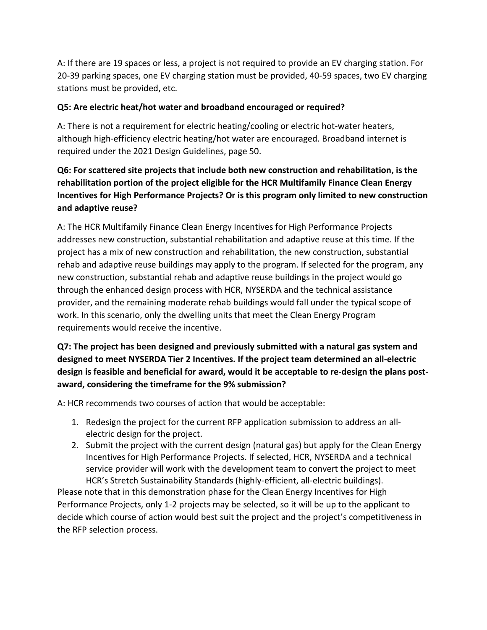A: If there are 19 spaces or less, a project is not required to provide an EV charging station. For 20-39 parking spaces, one EV charging station must be provided, 40-59 spaces, two EV charging stations must be provided, etc.

#### **Q5: Are electric heat/hot water and broadband encouraged or required?**

A: There is not a requirement for electric heating/cooling or electric hot-water heaters, although high-efficiency electric heating/hot water are encouraged. Broadband internet is required under the 2021 Design Guidelines, page 50.

# **Q6: For scattered site projects that include both new construction and rehabilitation, is the rehabilitation portion of the project eligible for the HCR Multifamily Finance Clean Energy Incentives for High Performance Projects? Or is this program only limited to new construction and adaptive reuse?**

A: The HCR Multifamily Finance Clean Energy Incentives for High Performance Projects addresses new construction, substantial rehabilitation and adaptive reuse at this time. If the project has a mix of new construction and rehabilitation, the new construction, substantial rehab and adaptive reuse buildings may apply to the program. If selected for the program, any new construction, substantial rehab and adaptive reuse buildings in the project would go through the enhanced design process with HCR, NYSERDA and the technical assistance provider, and the remaining moderate rehab buildings would fall under the typical scope of work. In this scenario, only the dwelling units that meet the Clean Energy Program requirements would receive the incentive.

# **Q7: The project has been designed and previously submitted with a natural gas system and designed to meet NYSERDA Tier 2 Incentives. If the project team determined an all-electric design is feasible and beneficial for award, would it be acceptable to re-design the plans postaward, considering the timeframe for the 9% submission?**

A: HCR recommends two courses of action that would be acceptable:

- 1. Redesign the project for the current RFP application submission to address an allelectric design for the project.
- 2. Submit the project with the current design (natural gas) but apply for the Clean Energy Incentives for High Performance Projects. If selected, HCR, NYSERDA and a technical service provider will work with the development team to convert the project to meet HCR's Stretch Sustainability Standards (highly-efficient, all-electric buildings).

Please note that in this demonstration phase for the Clean Energy Incentives for High Performance Projects, only 1-2 projects may be selected, so it will be up to the applicant to decide which course of action would best suit the project and the project's competitiveness in the RFP selection process.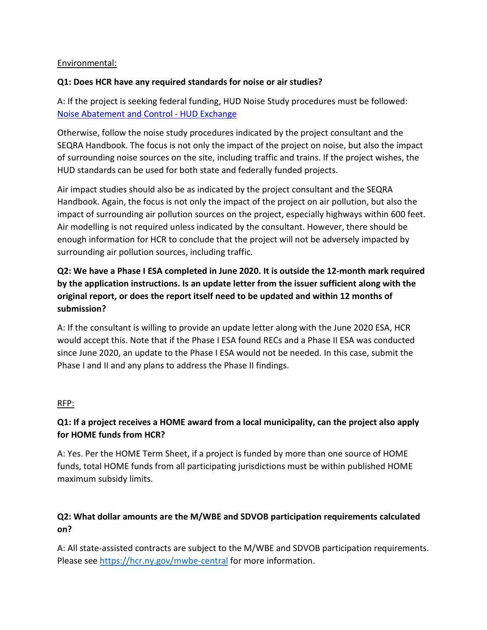#### Environmental:

#### **Q1: Does HCR have any required standards for noise or air studies?**

A: If the project is seeking federal funding, HUD Noise Study procedures must be followed: [Noise Abatement and Control -](https://www.hudexchange.info/programs/environmental-review/noise-abatement-and-control/) HUD Exchange

Otherwise, follow the noise study procedures indicated by the project consultant and the SEQRA Handbook. The focus is not only the impact of the project on noise, but also the impact of surrounding noise sources on the site, including traffic and trains. If the project wishes, the HUD standards can be used for both state and federally funded projects.

Air impact studies should also be as indicated by the project consultant and the SEQRA Handbook. Again, the focus is not only the impact of the project on air pollution, but also the impact of surrounding air pollution sources on the project, especially highways within 600 feet. Air modelling is not required unless indicated by the consultant. However, there should be enough information for HCR to conclude that the project will not be adversely impacted by surrounding air pollution sources, including traffic.

# **Q2: We have a Phase I ESA completed in June 2020. It is outside the 12-month mark required by the application instructions. Is an update letter from the issuer sufficient along with the original report, or does the report itself need to be updated and within 12 months of submission?**

A: If the consultant is willing to provide an update letter along with the June 2020 ESA, HCR would accept this. Note that if the Phase I ESA found RECs and a Phase II ESA was conducted since June 2020, an update to the Phase I ESA would not be needed. In this case, submit the Phase I and II and any plans to address the Phase II findings.

#### RFP:

## **Q1: If a project receives a HOME award from a local municipality, can the project also apply for HOME funds from HCR?**

A: Yes. Per the HOME Term Sheet, if a project is funded by more than one source of HOME funds, total HOME funds from all participating jurisdictions must be within published HOME maximum subsidy limits.

## **Q2: What dollar amounts are the M/WBE and SDVOB participation requirements calculated on?**

A: All state-assisted contracts are subject to the M/WBE and SDVOB participation requirements. Please see<https://hcr.ny.gov/mwbe-central> for more information.